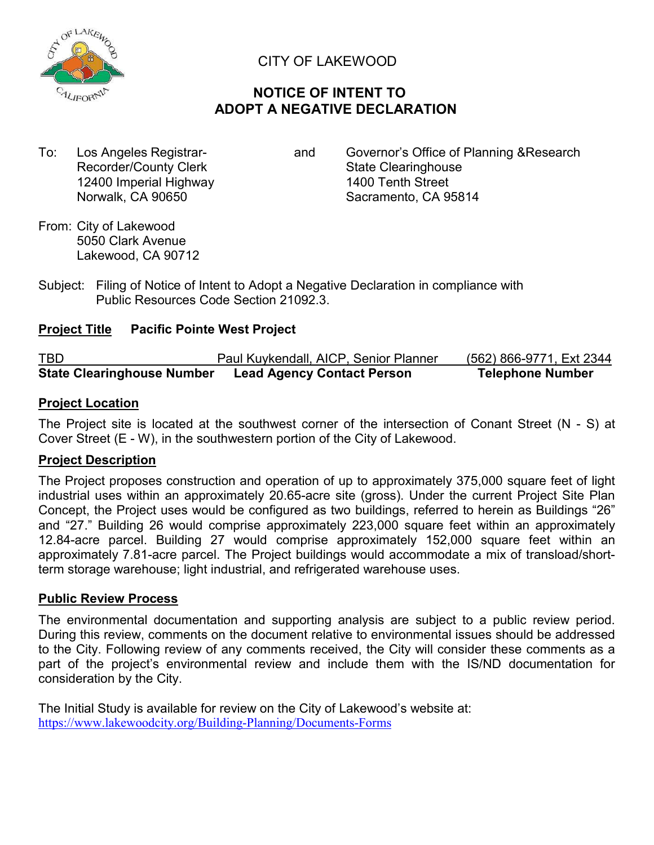

# CITY OF LAKEWOOD

# **NOTICE OF INTENT TO ADOPT A NEGATIVE DECLARATION**

Recorder/County Clerk State Clearinghouse 12400 Imperial Highway 1400 Tenth Street

To: Los Angeles Registrar- and Governor's Office of Planning & Research Norwalk, CA 90650 Sacramento, CA 95814

- From: City of Lakewood 5050 Clark Avenue Lakewood, CA 90712
- Subject: Filing of Notice of Intent to Adopt a Negative Declaration in compliance with Public Resources Code Section 21092.3.

## **Project Title Pacific Pointe West Project**

| <b>TBD</b>                        | Paul Kuykendall, AICP, Senior Planner | (562) 866-9771, Ext 2344 |
|-----------------------------------|---------------------------------------|--------------------------|
| <b>State Clearinghouse Number</b> | <b>Lead Agency Contact Person</b>     | <b>Telephone Number</b>  |

### **Project Location**

The Project site is located at the southwest corner of the intersection of Conant Street (N - S) at Cover Street (E - W), in the southwestern portion of the City of Lakewood.

## **Project Description**

The Project proposes construction and operation of up to approximately 375,000 square feet of light industrial uses within an approximately 20.65-acre site (gross). Under the current Project Site Plan Concept, the Project uses would be configured as two buildings, referred to herein as Buildings "26" and "27." Building 26 would comprise approximately 223,000 square feet within an approximately 12.84-acre parcel. Building 27 would comprise approximately 152,000 square feet within an approximately 7.81-acre parcel. The Project buildings would accommodate a mix of transload/shortterm storage warehouse; light industrial, and refrigerated warehouse uses.

### **Public Review Process**

The environmental documentation and supporting analysis are subject to a public review period. During this review, comments on the document relative to environmental issues should be addressed to the City. Following review of any comments received, the City will consider these comments as a part of the project's environmental review and include them with the IS/ND documentation for consideration by the City.

The Initial Study is available for review on the City of Lakewood's website at: https://www.lakewoodcity.org/Building-Planning/Documents-Forms